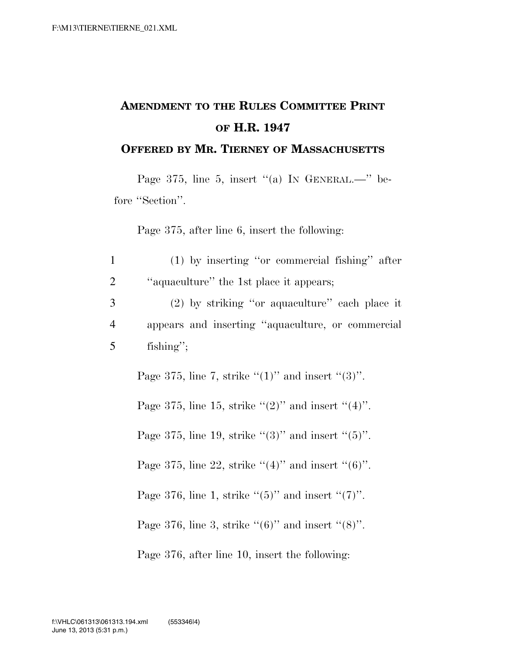## **AMENDMENT TO THE RULES COMMITTEE PRINT OF H.R. 1947**

## **OFFERED BY MR. TIERNEY OF MASSACHUSETTS**

Page 375, line 5, insert "(a) IN GENERAL.—" before "Section".

Page 375, after line 6, insert the following:

| $\mathbf{1}$   | $(1)$ by inserting "or commercial fishing" after          |
|----------------|-----------------------------------------------------------|
| $\overline{2}$ | "aquaculture" the 1st place it appears;                   |
| 3              | (2) by striking "or aquaculture" each place it            |
| $\overline{4}$ | appears and inserting "aquaculture, or commercial         |
| 5              | fishing";                                                 |
|                | Page 375, line 7, strike " $(1)$ " and insert " $(3)$ ".  |
|                | Page 375, line 15, strike " $(2)$ " and insert " $(4)$ ". |
|                | Page 375, line 19, strike " $(3)$ " and insert " $(5)$ ". |
|                | Page 375, line 22, strike "(4)" and insert "(6)".         |
|                | Page 376, line 1, strike " $(5)$ " and insert " $(7)$ ".  |
|                | Page 376, line 3, strike " $(6)$ " and insert " $(8)$ ".  |
|                | Page 376, after line 10, insert the following:            |